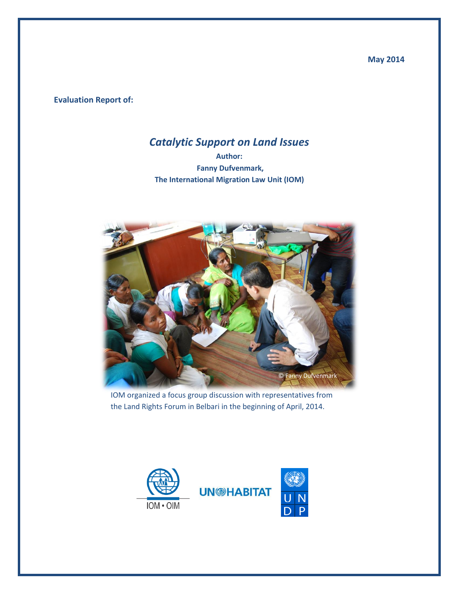**May 2014**

**Evaluation Report of:**

## *Catalytic Support on Land Issues*

**Author: Fanny Dufvenmark, The International Migration Law Unit (IOM)**



IOM organized a focus group discussion with representatives from the Land Rights Forum in Belbari in the beginning of April, 2014.



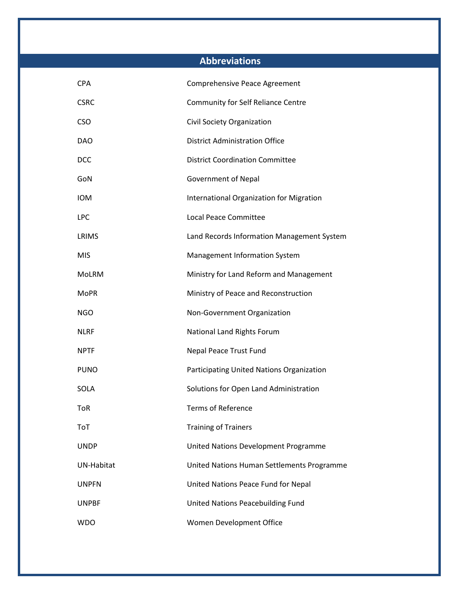## **Abbreviations**

| <b>CPA</b>        | Comprehensive Peace Agreement              |
|-------------------|--------------------------------------------|
| <b>CSRC</b>       | Community for Self Reliance Centre         |
| <b>CSO</b>        | Civil Society Organization                 |
| <b>DAO</b>        | <b>District Administration Office</b>      |
| <b>DCC</b>        | <b>District Coordination Committee</b>     |
| GoN               | <b>Government of Nepal</b>                 |
| <b>IOM</b>        | International Organization for Migration   |
| <b>LPC</b>        | <b>Local Peace Committee</b>               |
| LRIMS             | Land Records Information Management System |
| <b>MIS</b>        | Management Information System              |
| MoLRM             | Ministry for Land Reform and Management    |
| <b>MoPR</b>       | Ministry of Peace and Reconstruction       |
| NGO               | Non-Government Organization                |
| <b>NLRF</b>       | National Land Rights Forum                 |
| <b>NPTF</b>       | Nepal Peace Trust Fund                     |
| <b>PUNO</b>       | Participating United Nations Organization  |
| SOLA              | Solutions for Open Land Administration     |
| ToR               | <b>Terms of Reference</b>                  |
| <b>ToT</b>        | <b>Training of Trainers</b>                |
| <b>UNDP</b>       | United Nations Development Programme       |
| <b>UN-Habitat</b> | United Nations Human Settlements Programme |
| <b>UNPFN</b>      | United Nations Peace Fund for Nepal        |
| <b>UNPBF</b>      | United Nations Peacebuilding Fund          |
| <b>WDO</b>        | Women Development Office                   |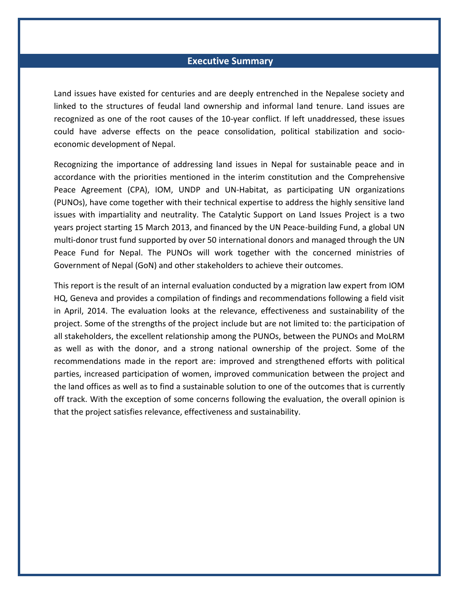#### **Executive Summary**

Land issues have existed for centuries and are deeply entrenched in the Nepalese society and linked to the structures of feudal land ownership and informal land tenure. Land issues are recognized as one of the root causes of the 10-year conflict. If left unaddressed, these issues could have adverse effects on the peace consolidation, political stabilization and socioeconomic development of Nepal.

Recognizing the importance of addressing land issues in Nepal for sustainable peace and in accordance with the priorities mentioned in the interim constitution and the Comprehensive Peace Agreement (CPA), IOM, UNDP and UN-Habitat, as participating UN organizations (PUNOs), have come together with their technical expertise to address the highly sensitive land issues with impartiality and neutrality. The Catalytic Support on Land Issues Project is a two years project starting 15 March 2013, and financed by the UN Peace-building Fund, a global UN multi-donor trust fund supported by over 50 international donors and managed through the UN Peace Fund for Nepal. The PUNOs will work together with the concerned ministries of Government of Nepal (GoN) and other stakeholders to achieve their outcomes.

This report is the result of an internal evaluation conducted by a migration law expert from IOM HQ, Geneva and provides a compilation of findings and recommendations following a field visit in April, 2014. The evaluation looks at the relevance, effectiveness and sustainability of the project. Some of the strengths of the project include but are not limited to: the participation of all stakeholders, the excellent relationship among the PUNOs, between the PUNOs and MoLRM as well as with the donor, and a strong national ownership of the project. Some of the recommendations made in the report are: improved and strengthened efforts with political parties, increased participation of women, improved communication between the project and the land offices as well as to find a sustainable solution to one of the outcomes that is currently off track. With the exception of some concerns following the evaluation, the overall opinion is that the project satisfies relevance, effectiveness and sustainability.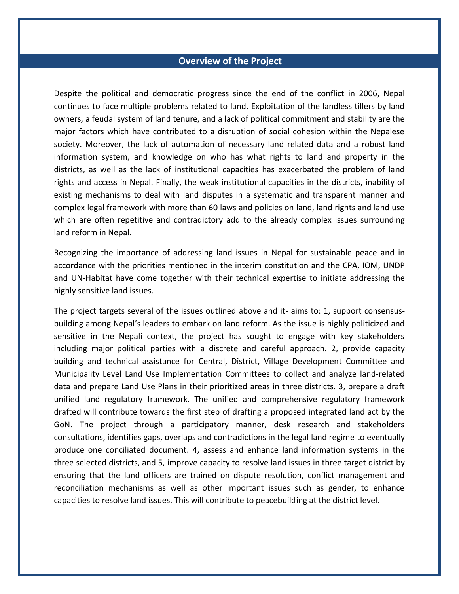#### **Overview of the Project**

Despite the political and democratic progress since the end of the conflict in 2006, Nepal continues to face multiple problems related to land. Exploitation of the landless tillers by land owners, a feudal system of land tenure, and a lack of political commitment and stability are the major factors which have contributed to a disruption of social cohesion within the Nepalese society. Moreover, the lack of automation of necessary land related data and a robust land information system, and knowledge on who has what rights to land and property in the districts, as well as the lack of institutional capacities has exacerbated the problem of land rights and access in Nepal. Finally, the weak institutional capacities in the districts, inability of existing mechanisms to deal with land disputes in a systematic and transparent manner and complex legal framework with more than 60 laws and policies on land, land rights and land use which are often repetitive and contradictory add to the already complex issues surrounding land reform in Nepal.

Recognizing the importance of addressing land issues in Nepal for sustainable peace and in accordance with the priorities mentioned in the interim constitution and the CPA, IOM, UNDP and UN-Habitat have come together with their technical expertise to initiate addressing the highly sensitive land issues.

The project targets several of the issues outlined above and it- aims to: 1, support consensusbuilding among Nepal's leaders to embark on land reform. As the issue is highly politicized and sensitive in the Nepali context, the project has sought to engage with key stakeholders including major political parties with a discrete and careful approach. 2, provide capacity building and technical assistance for Central, District, Village Development Committee and Municipality Level Land Use Implementation Committees to collect and analyze land-related data and prepare Land Use Plans in their prioritized areas in three districts. 3, prepare a draft unified land regulatory framework. The unified and comprehensive regulatory framework drafted will contribute towards the first step of drafting a proposed integrated land act by the GoN. The project through a participatory manner, desk research and stakeholders consultations, identifies gaps, overlaps and contradictions in the legal land regime to eventually produce one conciliated document. 4, assess and enhance land information systems in the three selected districts, and 5, improve capacity to resolve land issues in three target district by ensuring that the land officers are trained on dispute resolution, conflict management and reconciliation mechanisms as well as other important issues such as gender, to enhance capacities to resolve land issues. This will contribute to peacebuilding at the district level.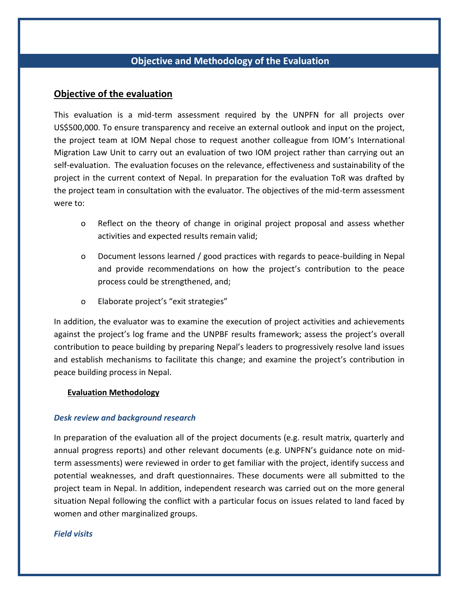## **Objective and Methodology of the Evaluation**

#### **Objective of the evaluation**

This evaluation is a mid-term assessment required by the UNPFN for all projects over US\$500,000. To ensure transparency and receive an external outlook and input on the project, the project team at IOM Nepal chose to request another colleague from IOM's International Migration Law Unit to carry out an evaluation of two IOM project rather than carrying out an self-evaluation. The evaluation focuses on the relevance, effectiveness and sustainability of the project in the current context of Nepal. In preparation for the evaluation ToR was drafted by the project team in consultation with the evaluator. The objectives of the mid-term assessment were to:

- o Reflect on the theory of change in original project proposal and assess whether activities and expected results remain valid;
- o Document lessons learned / good practices with regards to peace-building in Nepal and provide recommendations on how the project's contribution to the peace process could be strengthened, and;
- o Elaborate project's "exit strategies"

In addition, the evaluator was to examine the execution of project activities and achievements against the project's log frame and the UNPBF results framework; assess the project's overall contribution to peace building by preparing Nepal's leaders to progressively resolve land issues and establish mechanisms to facilitate this change; and examine the project's contribution in peace building process in Nepal.

#### **Evaluation Methodology**

#### *Desk review and background research*

In preparation of the evaluation all of the project documents (e.g. result matrix, quarterly and annual progress reports) and other relevant documents (e.g. UNPFN's guidance note on midterm assessments) were reviewed in order to get familiar with the project, identify success and potential weaknesses, and draft questionnaires. These documents were all submitted to the project team in Nepal. In addition, independent research was carried out on the more general situation Nepal following the conflict with a particular focus on issues related to land faced by women and other marginalized groups.

#### *Field visits*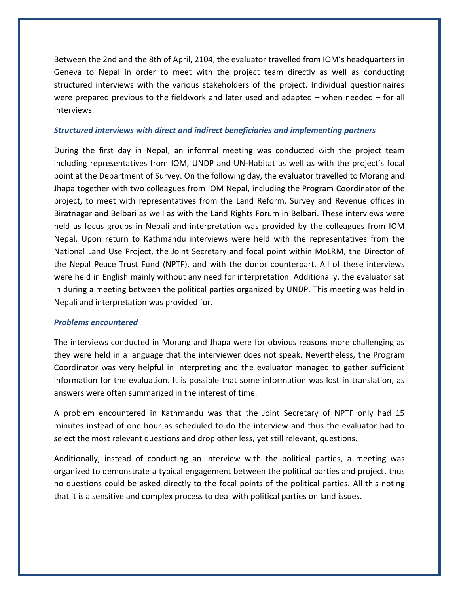Between the 2nd and the 8th of April, 2104, the evaluator travelled from IOM's headquarters in Geneva to Nepal in order to meet with the project team directly as well as conducting structured interviews with the various stakeholders of the project. Individual questionnaires were prepared previous to the fieldwork and later used and adapted – when needed – for all interviews.

#### *Structured interviews with direct and indirect beneficiaries and implementing partners*

During the first day in Nepal, an informal meeting was conducted with the project team including representatives from IOM, UNDP and UN-Habitat as well as with the project's focal point at the Department of Survey. On the following day, the evaluator travelled to Morang and Jhapa together with two colleagues from IOM Nepal, including the Program Coordinator of the project, to meet with representatives from the Land Reform, Survey and Revenue offices in Biratnagar and Belbari as well as with the Land Rights Forum in Belbari. These interviews were held as focus groups in Nepali and interpretation was provided by the colleagues from IOM Nepal. Upon return to Kathmandu interviews were held with the representatives from the National Land Use Project, the Joint Secretary and focal point within MoLRM, the Director of the Nepal Peace Trust Fund (NPTF), and with the donor counterpart. All of these interviews were held in English mainly without any need for interpretation. Additionally, the evaluator sat in during a meeting between the political parties organized by UNDP. This meeting was held in Nepali and interpretation was provided for.

#### *Problems encountered*

The interviews conducted in Morang and Jhapa were for obvious reasons more challenging as they were held in a language that the interviewer does not speak. Nevertheless, the Program Coordinator was very helpful in interpreting and the evaluator managed to gather sufficient information for the evaluation. It is possible that some information was lost in translation, as answers were often summarized in the interest of time.

A problem encountered in Kathmandu was that the Joint Secretary of NPTF only had 15 minutes instead of one hour as scheduled to do the interview and thus the evaluator had to select the most relevant questions and drop other less, yet still relevant, questions.

Additionally, instead of conducting an interview with the political parties, a meeting was organized to demonstrate a typical engagement between the political parties and project, thus no questions could be asked directly to the focal points of the political parties. All this noting that it is a sensitive and complex process to deal with political parties on land issues.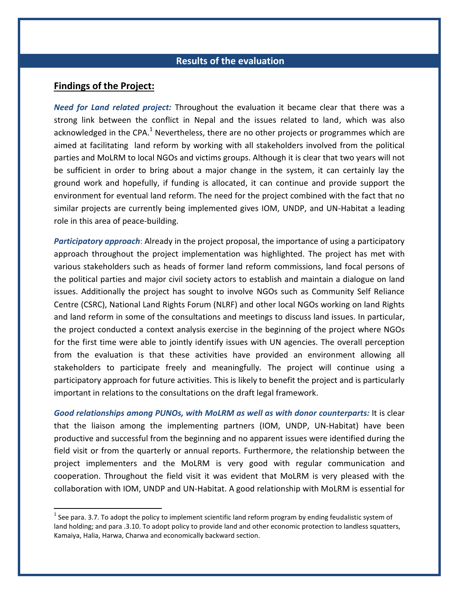#### **Results of the evaluation**

#### **Findings of the Project:**

 $\overline{\phantom{a}}$ 

*Need for Land related project:* Throughout the evaluation it became clear that there was a strong link between the conflict in Nepal and the issues related to land, which was also acknowledged in the CPA.<sup>1</sup> Nevertheless, there are no other projects or programmes which are aimed at facilitating land reform by working with all stakeholders involved from the political parties and MoLRM to local NGOs and victims groups. Although it is clear that two years will not be sufficient in order to bring about a major change in the system, it can certainly lay the ground work and hopefully, if funding is allocated, it can continue and provide support the environment for eventual land reform. The need for the project combined with the fact that no similar projects are currently being implemented gives IOM, UNDP, and UN-Habitat a leading role in this area of peace-building.

*Participatory approach*: Already in the project proposal, the importance of using a participatory approach throughout the project implementation was highlighted. The project has met with various stakeholders such as heads of former land reform commissions, land focal persons of the political parties and major civil society actors to establish and maintain a dialogue on land issues. Additionally the project has sought to involve NGOs such as Community Self Reliance Centre (CSRC), National Land Rights Forum (NLRF) and other local NGOs working on land Rights and land reform in some of the consultations and meetings to discuss land issues. In particular, the project conducted a context analysis exercise in the beginning of the project where NGOs for the first time were able to jointly identify issues with UN agencies. The overall perception from the evaluation is that these activities have provided an environment allowing all stakeholders to participate freely and meaningfully. The project will continue using a participatory approach for future activities. This is likely to benefit the project and is particularly important in relations to the consultations on the draft legal framework.

*Good relationships among PUNOs, with MoLRM as well as with donor counterparts:* It is clear that the liaison among the implementing partners (IOM, UNDP, UN-Habitat) have been productive and successful from the beginning and no apparent issues were identified during the field visit or from the quarterly or annual reports. Furthermore, the relationship between the project implementers and the MoLRM is very good with regular communication and cooperation. Throughout the field visit it was evident that MoLRM is very pleased with the collaboration with IOM, UNDP and UN-Habitat. A good relationship with MoLRM is essential for

<sup>&</sup>lt;sup>1</sup> See para. 3.7. To adopt the policy to implement scientific land reform program by ending feudalistic system of land holding; and para .3.10. To adopt policy to provide land and other economic protection to landless squatters, Kamaiya, Halia, Harwa, Charwa and economically backward section.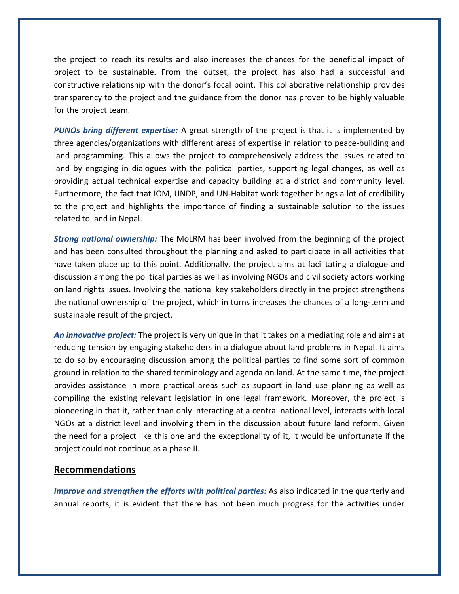the project to reach its results and also increases the chances for the beneficial impact of project to be sustainable. From the outset, the project has also had a successful and constructive relationship with the donor's focal point. This collaborative relationship provides transparency to the project and the guidance from the donor has proven to be highly valuable for the project team.

*PUNOs bring different expertise:* A great strength of the project is that it is implemented by three agencies/organizations with different areas of expertise in relation to peace-building and land programming. This allows the project to comprehensively address the issues related to land by engaging in dialogues with the political parties, supporting legal changes, as well as providing actual technical expertise and capacity building at a district and community level. Furthermore, the fact that IOM, UNDP, and UN-Habitat work together brings a lot of credibility to the project and highlights the importance of finding a sustainable solution to the issues related to land in Nepal.

*Strong national ownership:* The MoLRM has been involved from the beginning of the project and has been consulted throughout the planning and asked to participate in all activities that have taken place up to this point. Additionally, the project aims at facilitating a dialogue and discussion among the political parties as well as involving NGOs and civil society actors working on land rights issues. Involving the national key stakeholders directly in the project strengthens the national ownership of the project, which in turns increases the chances of a long-term and sustainable result of the project.

*An innovative project:* The project is very unique in that it takes on a mediating role and aims at reducing tension by engaging stakeholders in a dialogue about land problems in Nepal. It aims to do so by encouraging discussion among the political parties to find some sort of common ground in relation to the shared terminology and agenda on land. At the same time, the project provides assistance in more practical areas such as support in land use planning as well as compiling the existing relevant legislation in one legal framework. Moreover, the project is pioneering in that it, rather than only interacting at a central national level, interacts with local NGOs at a district level and involving them in the discussion about future land reform. Given the need for a project like this one and the exceptionality of it, it would be unfortunate if the project could not continue as a phase II.

#### **Recommendations**

*Improve and strengthen the efforts with political parties:* As also indicated in the quarterly and annual reports, it is evident that there has not been much progress for the activities under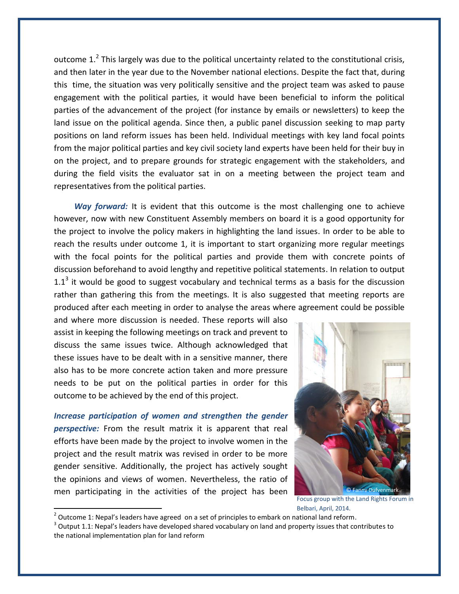outcome 1.<sup>2</sup> This largely was due to the political uncertainty related to the constitutional crisis, and then later in the year due to the November national elections. Despite the fact that, during this time, the situation was very politically sensitive and the project team was asked to pause engagement with the political parties, it would have been beneficial to inform the political parties of the advancement of the project (for instance by emails or newsletters) to keep the land issue on the political agenda. Since then, a public panel discussion seeking to map party positions on land reform issues has been held. Individual meetings with key land focal points from the major political parties and key civil society land experts have been held for their buy in on the project, and to prepare grounds for strategic engagement with the stakeholders, and during the field visits the evaluator sat in on a meeting between the project team and representatives from the political parties.

*Way forward:* It is evident that this outcome is the most challenging one to achieve however, now with new Constituent Assembly members on board it is a good opportunity for the project to involve the policy makers in highlighting the land issues. In order to be able to reach the results under outcome 1, it is important to start organizing more regular meetings with the focal points for the political parties and provide them with concrete points of discussion beforehand to avoid lengthy and repetitive political statements. In relation to output 1.1<sup>3</sup> it would be good to suggest vocabulary and technical terms as a basis for the discussion rather than gathering this from the meetings. It is also suggested that meeting reports are produced after each meeting in order to analyse the areas where agreement could be possible

and where more discussion is needed. These reports will also assist in keeping the following meetings on track and prevent to discuss the same issues twice. Although acknowledged that these issues have to be dealt with in a sensitive manner, there also has to be more concrete action taken and more pressure needs to be put on the political parties in order for this outcome to be achieved by the end of this project.

*Increase participation of women and strengthen the gender perspective:* From the result matrix it is apparent that real efforts have been made by the project to involve women in the project and the result matrix was revised in order to be more gender sensitive. Additionally, the project has actively sought the opinions and views of women. Nevertheless, the ratio of men participating in the activities of the project has been

 $\overline{\phantom{a}}$ 



Focus group with the Land Rights Forum in Belbari, April, 2014.

 $^2$  Outcome 1: Nepal's leaders have agreed on a set of principles to embark on national land reform.

 $3$  Output 1.1: Nepal's leaders have developed shared vocabulary on land and property issues that contributes to the national implementation plan for land reform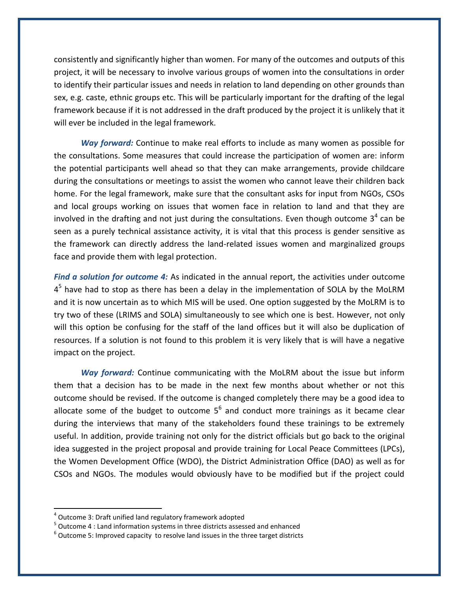consistently and significantly higher than women. For many of the outcomes and outputs of this project, it will be necessary to involve various groups of women into the consultations in order to identify their particular issues and needs in relation to land depending on other grounds than sex, e.g. caste, ethnic groups etc. This will be particularly important for the drafting of the legal framework because if it is not addressed in the draft produced by the project it is unlikely that it will ever be included in the legal framework.

*Way forward:* Continue to make real efforts to include as many women as possible for the consultations. Some measures that could increase the participation of women are: inform the potential participants well ahead so that they can make arrangements, provide childcare during the consultations or meetings to assist the women who cannot leave their children back home. For the legal framework, make sure that the consultant asks for input from NGOs, CSOs and local groups working on issues that women face in relation to land and that they are involved in the drafting and not just during the consultations. Even though outcome  $3^4$  can be seen as a purely technical assistance activity, it is vital that this process is gender sensitive as the framework can directly address the land-related issues women and marginalized groups face and provide them with legal protection.

*Find a solution for outcome 4:* As indicated in the annual report, the activities under outcome  $4<sup>5</sup>$  have had to stop as there has been a delay in the implementation of SOLA by the MoLRM and it is now uncertain as to which MIS will be used. One option suggested by the MoLRM is to try two of these (LRIMS and SOLA) simultaneously to see which one is best. However, not only will this option be confusing for the staff of the land offices but it will also be duplication of resources. If a solution is not found to this problem it is very likely that is will have a negative impact on the project.

*Way forward:* Continue communicating with the MoLRM about the issue but inform them that a decision has to be made in the next few months about whether or not this outcome should be revised. If the outcome is changed completely there may be a good idea to allocate some of the budget to outcome  $5^6$  and conduct more trainings as it became clear during the interviews that many of the stakeholders found these trainings to be extremely useful. In addition, provide training not only for the district officials but go back to the original idea suggested in the project proposal and provide training for Local Peace Committees (LPCs), the Women Development Office (WDO), the District Administration Office (DAO) as well as for CSOs and NGOs. The modules would obviously have to be modified but if the project could

 $\overline{\phantom{a}}$ 

<sup>&</sup>lt;sup>4</sup> Outcome 3: Draft unified land regulatory framework adopted

<sup>&</sup>lt;sup>5</sup> Outcome 4 : Land information systems in three districts assessed and enhanced

 $^6$  Outcome 5: Improved capacity to resolve land issues in the three target districts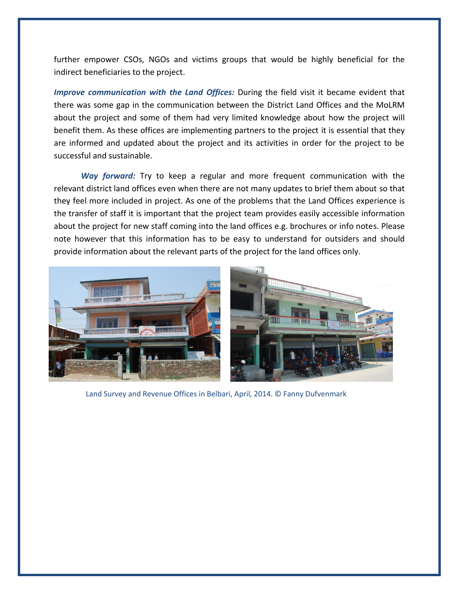further empower CSOs, NGOs and victims groups that would be highly beneficial for the indirect beneficiaries to the project.

*Improve communication with the Land Offices:* During the field visit it became evident that there was some gap in the communication between the District Land Offices and the MoLRM about the project and some of them had very limited knowledge about how the project will benefit them. As these offices are implementing partners to the project it is essential that they are informed and updated about the project and its activities in order for the project to be successful and sustainable.

*Way forward:* Try to keep a regular and more frequent communication with the relevant district land offices even when there are not many updates to brief them about so that they feel more included in project. As one of the problems that the Land Offices experience is the transfer of staff it is important that the project team provides easily accessible information about the project for new staff coming into the land offices e.g. brochures or info notes. Please note however that this information has to be easy to understand for outsiders and should provide information about the relevant parts of the project for the land offices only.



Land Survey and Revenue Offices in Belbari, April, 2014. © Fanny Dufvenmark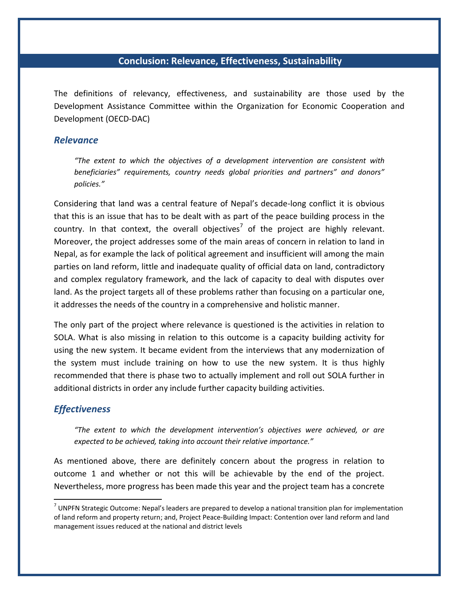#### **Conclusion: Relevance, Effectiveness, Sustainability**

The definitions of relevancy, effectiveness, and sustainability are those used by the Development Assistance Committee within the Organization for Economic Cooperation and Development (OECD-DAC)

#### *Relevance*

*"The extent to which the objectives of a development intervention are consistent with beneficiaries" requirements, country needs global priorities and partners" and donors" policies."* 

Considering that land was a central feature of Nepal's decade-long conflict it is obvious that this is an issue that has to be dealt with as part of the peace building process in the country. In that context, the overall objectives<sup>7</sup> of the project are highly relevant. Moreover, the project addresses some of the main areas of concern in relation to land in Nepal, as for example the lack of political agreement and insufficient will among the main parties on land reform, little and inadequate quality of official data on land, contradictory and complex regulatory framework, and the lack of capacity to deal with disputes over land. As the project targets all of these problems rather than focusing on a particular one, it addresses the needs of the country in a comprehensive and holistic manner.

The only part of the project where relevance is questioned is the activities in relation to SOLA. What is also missing in relation to this outcome is a capacity building activity for using the new system. It became evident from the interviews that any modernization of the system must include training on how to use the new system. It is thus highly recommended that there is phase two to actually implement and roll out SOLA further in additional districts in order any include further capacity building activities.

#### *Effectiveness*

 $\overline{a}$ 

*"The extent to which the development intervention's objectives were achieved, or are expected to be achieved, taking into account their relative importance."* 

As mentioned above, there are definitely concern about the progress in relation to outcome 1 and whether or not this will be achievable by the end of the project. Nevertheless, more progress has been made this year and the project team has a concrete

 $^7$  UNPFN Strategic Outcome: Nepal's leaders are prepared to develop a national transition plan for implementation of land reform and property return; and, Project Peace-Building Impact: Contention over land reform and land management issues reduced at the national and district levels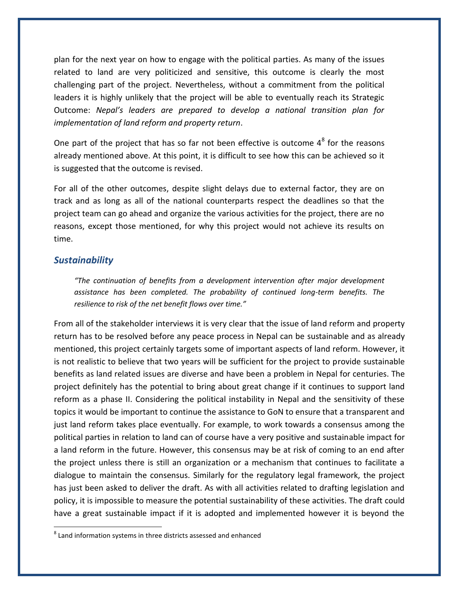plan for the next year on how to engage with the political parties. As many of the issues related to land are very politicized and sensitive, this outcome is clearly the most challenging part of the project. Nevertheless, without a commitment from the political leaders it is highly unlikely that the project will be able to eventually reach its Strategic Outcome: *Nepal's leaders are prepared to develop a national transition plan for implementation of land reform and property return*.

One part of the project that has so far not been effective is outcome  $4^8$  for the reasons already mentioned above. At this point, it is difficult to see how this can be achieved so it is suggested that the outcome is revised.

For all of the other outcomes, despite slight delays due to external factor, they are on track and as long as all of the national counterparts respect the deadlines so that the project team can go ahead and organize the various activities for the project, there are no reasons, except those mentioned, for why this project would not achieve its results on time.

#### *Sustainability*

 $\overline{\phantom{a}}$ 

*"The continuation of benefits from a development intervention after major development assistance has been completed. The probability of continued long-term benefits. The resilience to risk of the net benefit flows over time."* 

From all of the stakeholder interviews it is very clear that the issue of land reform and property return has to be resolved before any peace process in Nepal can be sustainable and as already mentioned, this project certainly targets some of important aspects of land reform. However, it is not realistic to believe that two years will be sufficient for the project to provide sustainable benefits as land related issues are diverse and have been a problem in Nepal for centuries. The project definitely has the potential to bring about great change if it continues to support land reform as a phase II. Considering the political instability in Nepal and the sensitivity of these topics it would be important to continue the assistance to GoN to ensure that a transparent and just land reform takes place eventually. For example, to work towards a consensus among the political parties in relation to land can of course have a very positive and sustainable impact for a land reform in the future. However, this consensus may be at risk of coming to an end after the project unless there is still an organization or a mechanism that continues to facilitate a dialogue to maintain the consensus. Similarly for the regulatory legal framework, the project has just been asked to deliver the draft. As with all activities related to drafting legislation and policy, it is impossible to measure the potential sustainability of these activities. The draft could have a great sustainable impact if it is adopted and implemented however it is beyond the

 $^8$  Land information systems in three districts assessed and enhanced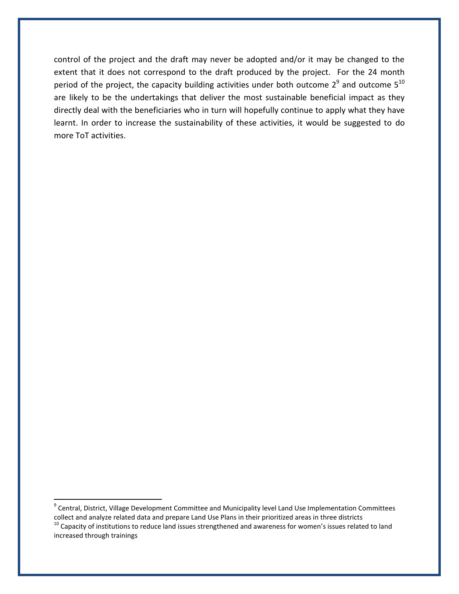control of the project and the draft may never be adopted and/or it may be changed to the extent that it does not correspond to the draft produced by the project. For the 24 month period of the project, the capacity building activities under both outcome  $2^9$  and outcome  $5^{10}$ are likely to be the undertakings that deliver the most sustainable beneficial impact as they directly deal with the beneficiaries who in turn will hopefully continue to apply what they have learnt. In order to increase the sustainability of these activities, it would be suggested to do more ToT activities.

 $\overline{a}$ 

<sup>&</sup>lt;sup>9</sup> Central, District, Village Development Committee and Municipality level Land Use Implementation Committees collect and analyze related data and prepare Land Use Plans in their prioritized areas in three districts  $10$  Capacity of institutions to reduce land issues strengthened and awareness for women's issues related to land increased through trainings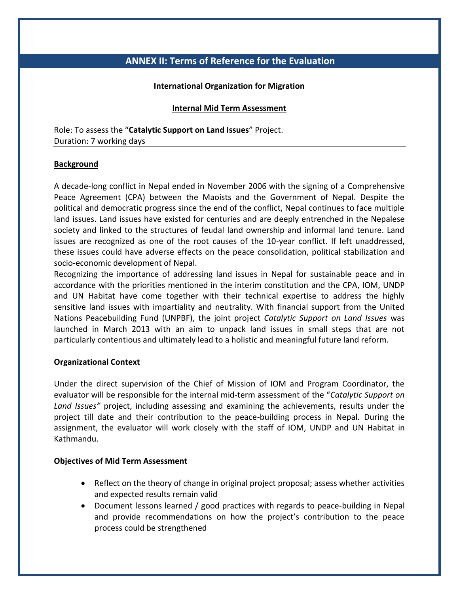## **ANNEX II: Terms of Reference for the Evaluation**

#### **International Organization for Migration**

#### **Internal Mid Term Assessment**

Role: To assess the "**Catalytic Support on Land Issues**" Project. Duration: 7 working days

#### **Background**

A decade-long conflict in Nepal ended in November 2006 with the signing of a Comprehensive Peace Agreement (CPA) between the Maoists and the Government of Nepal. Despite the political and democratic progress since the end of the conflict, Nepal continues to face multiple land issues. Land issues have existed for centuries and are deeply entrenched in the Nepalese society and linked to the structures of feudal land ownership and informal land tenure. Land issues are recognized as one of the root causes of the 10-year conflict. If left unaddressed, these issues could have adverse effects on the peace consolidation, political stabilization and socio-economic development of Nepal.

Recognizing the importance of addressing land issues in Nepal for sustainable peace and in accordance with the priorities mentioned in the interim constitution and the CPA, IOM, UNDP and UN Habitat have come together with their technical expertise to address the highly sensitive land issues with impartiality and neutrality. With financial support from the United Nations Peacebuilding Fund (UNPBF), the joint project *Catalytic Support on Land Issues* was launched in March 2013 with an aim to unpack land issues in small steps that are not particularly contentious and ultimately lead to a holistic and meaningful future land reform.

#### **Organizational Context**

Under the direct supervision of the Chief of Mission of IOM and Program Coordinator, the evaluator will be responsible for the internal mid-term assessment of the "*Catalytic Support on Land Issues"* project, including assessing and examining the achievements, results under the project till date and their contribution to the peace-building process in Nepal. During the assignment, the evaluator will work closely with the staff of IOM, UNDP and UN Habitat in Kathmandu.

#### **Objectives of Mid Term Assessment**

- Reflect on the theory of change in original project proposal; assess whether activities and expected results remain valid
- Document lessons learned / good practices with regards to peace-building in Nepal and provide recommendations on how the project's contribution to the peace process could be strengthened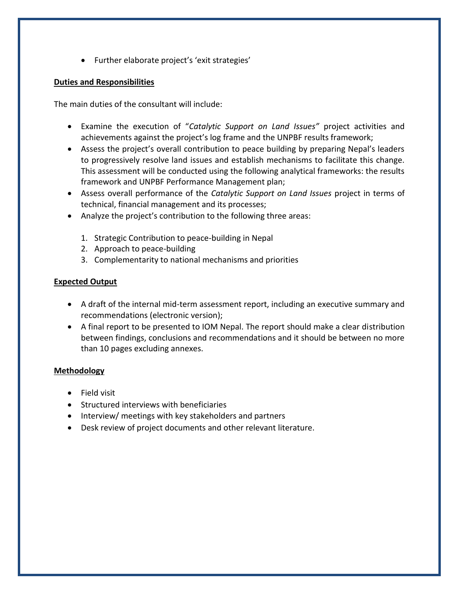Further elaborate project's 'exit strategies'

#### **Duties and Responsibilities**

The main duties of the consultant will include:

- Examine the execution of "*Catalytic Support on Land Issues"* project activities and achievements against the project's log frame and the UNPBF results framework;
- Assess the project's overall contribution to peace building by preparing Nepal's leaders to progressively resolve land issues and establish mechanisms to facilitate this change. This assessment will be conducted using the following analytical frameworks: the results framework and UNPBF Performance Management plan;
- Assess overall performance of the *Catalytic Support on Land Issues* project in terms of technical, financial management and its processes;
- Analyze the project's contribution to the following three areas:
	- 1. Strategic Contribution to peace-building in Nepal
	- 2. Approach to peace-building
	- 3. Complementarity to national mechanisms and priorities

#### **Expected Output**

- A draft of the internal mid-term assessment report, including an executive summary and recommendations (electronic version);
- A final report to be presented to IOM Nepal. The report should make a clear distribution between findings, conclusions and recommendations and it should be between no more than 10 pages excluding annexes.

#### **Methodology**

- Field visit
- Structured interviews with beneficiaries
- Interview/ meetings with key stakeholders and partners
- Desk review of project documents and other relevant literature.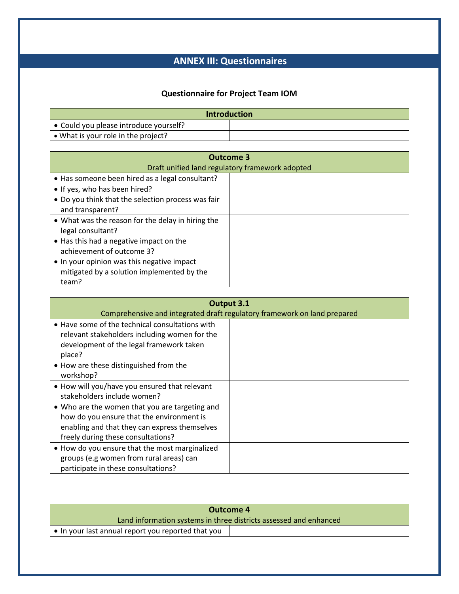## **ANNEX III: Questionnaires**

## **Questionnaire for Project Team IOM**

| <b>Introduction</b>                            |  |
|------------------------------------------------|--|
| $\bullet$ Could you please introduce yourself? |  |
| • What is your role in the project?            |  |

| <b>Outcome 3</b><br>Draft unified land regulatory framework adopted                                                                                                                                                                                 |  |
|-----------------------------------------------------------------------------------------------------------------------------------------------------------------------------------------------------------------------------------------------------|--|
| • Has someone been hired as a legal consultant?<br>• If yes, who has been hired?<br>• Do you think that the selection process was fair<br>and transparent?                                                                                          |  |
| • What was the reason for the delay in hiring the<br>legal consultant?<br>• Has this had a negative impact on the<br>achievement of outcome 3?<br>• In your opinion was this negative impact<br>mitigated by a solution implemented by the<br>team? |  |

| Output 3.1<br>Comprehensive and integrated draft regulatory framework on land prepared                                                                                                                                                                             |  |
|--------------------------------------------------------------------------------------------------------------------------------------------------------------------------------------------------------------------------------------------------------------------|--|
| • Have some of the technical consultations with<br>relevant stakeholders including women for the<br>development of the legal framework taken<br>place?                                                                                                             |  |
| • How are these distinguished from the<br>workshop?                                                                                                                                                                                                                |  |
| . How will you/have you ensured that relevant<br>stakeholders include women?<br>• Who are the women that you are targeting and<br>how do you ensure that the environment is<br>enabling and that they can express themselves<br>freely during these consultations? |  |
| • How do you ensure that the most marginalized<br>groups (e.g women from rural areas) can<br>participate in these consultations?                                                                                                                                   |  |

| Outcome 4                                                         |  |
|-------------------------------------------------------------------|--|
| Land information systems in three districts assessed and enhanced |  |
| $\blacksquare$ • In your last annual report you reported that you |  |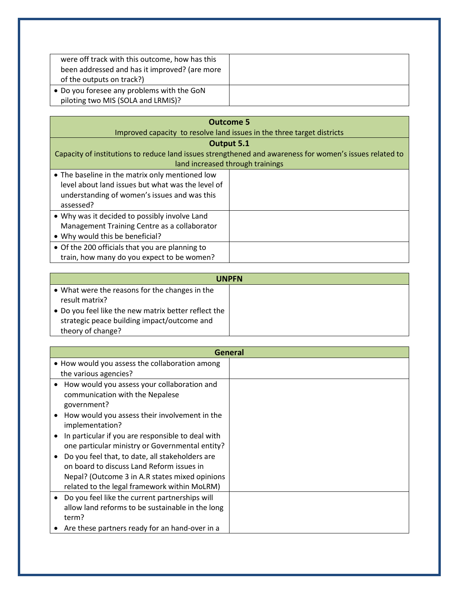| were off track with this outcome, how has this<br>been addressed and has it improved? (are more<br>of the outputs on track?) |  |
|------------------------------------------------------------------------------------------------------------------------------|--|
| • Do you foresee any problems with the GoN<br>piloting two MIS (SOLA and LRMIS)?                                             |  |

| <b>Outcome 5</b><br>Improved capacity to resolve land issues in the three target districts                                                                        |  |  |
|-------------------------------------------------------------------------------------------------------------------------------------------------------------------|--|--|
| Output 5.1<br>Capacity of institutions to reduce land issues strengthened and awareness for women's issues related to<br>land increased through trainings         |  |  |
| • The baseline in the matrix only mentioned low<br>level about land issues but what was the level of<br>understanding of women's issues and was this<br>assessed? |  |  |
| • Why was it decided to possibly involve Land<br>Management Training Centre as a collaborator<br>• Why would this be beneficial?                                  |  |  |
| • Of the 200 officials that you are planning to<br>train, how many do you expect to be women?                                                                     |  |  |

| <b>UNPFN</b>                                         |  |
|------------------------------------------------------|--|
| • What were the reasons for the changes in the       |  |
| result matrix?                                       |  |
| • Do you feel like the new matrix better reflect the |  |
| strategic peace building impact/outcome and          |  |
| theory of change?                                    |  |

| General                                                        |  |
|----------------------------------------------------------------|--|
| • How would you assess the collaboration among                 |  |
| the various agencies?                                          |  |
| How would you assess your collaboration and<br>٠               |  |
| communication with the Nepalese                                |  |
| government?                                                    |  |
| How would you assess their involvement in the<br>$\bullet$     |  |
| implementation?                                                |  |
| In particular if you are responsible to deal with<br>$\bullet$ |  |
| one particular ministry or Governmental entity?                |  |
| Do you feel that, to date, all stakeholders are<br>$\bullet$   |  |
| on board to discuss Land Reform issues in                      |  |
| Nepal? (Outcome 3 in A.R states mixed opinions                 |  |
| related to the legal framework within MoLRM)                   |  |
| Do you feel like the current partnerships will<br>$\bullet$    |  |
| allow land reforms to be sustainable in the long               |  |
| term?                                                          |  |
| Are these partners ready for an hand-over in a                 |  |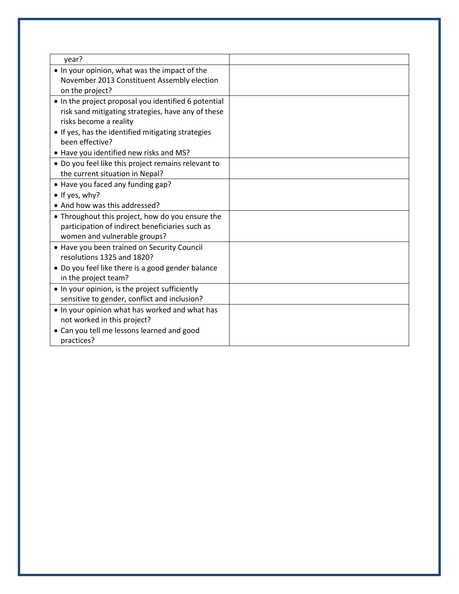| year?                                                |  |
|------------------------------------------------------|--|
| . In your opinion, what was the impact of the        |  |
| November 2013 Constituent Assembly election          |  |
| on the project?                                      |  |
| • In the project proposal you identified 6 potential |  |
| risk sand mitigating strategies, have any of these   |  |
| risks become a reality                               |  |
| • If yes, has the identified mitigating strategies   |  |
| been effective?                                      |  |
| • Have you identified new risks and MS?              |  |
| • Do you feel like this project remains relevant to  |  |
| the current situation in Nepal?                      |  |
| • Have you faced any funding gap?                    |  |
| • If yes, why?                                       |  |
| • And how was this addressed?                        |  |
| • Throughout this project, how do you ensure the     |  |
| participation of indirect beneficiaries such as      |  |
| women and vulnerable groups?                         |  |
| • Have you been trained on Security Council          |  |
| resolutions 1325 and 1820?                           |  |
| • Do you feel like there is a good gender balance    |  |
| in the project team?                                 |  |
| • In your opinion, is the project sufficiently       |  |
| sensitive to gender, conflict and inclusion?         |  |
| . In your opinion what has worked and what has       |  |
| not worked in this project?                          |  |
| • Can you tell me lessons learned and good           |  |
| practices?                                           |  |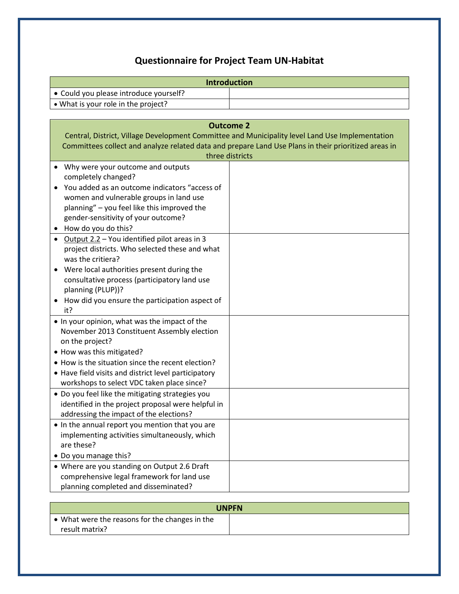# **Questionnaire for Project Team UN-Habitat**

| <b>Introduction</b>                                                                                                                                                                                                                                                                                                                                                       |  |  |
|---------------------------------------------------------------------------------------------------------------------------------------------------------------------------------------------------------------------------------------------------------------------------------------------------------------------------------------------------------------------------|--|--|
| • Could you please introduce yourself?                                                                                                                                                                                                                                                                                                                                    |  |  |
| . What is your role in the project?                                                                                                                                                                                                                                                                                                                                       |  |  |
|                                                                                                                                                                                                                                                                                                                                                                           |  |  |
| <b>Outcome 2</b><br>Central, District, Village Development Committee and Municipality level Land Use Implementation<br>Committees collect and analyze related data and prepare Land Use Plans in their prioritized areas in<br>three districts                                                                                                                            |  |  |
| • Why were your outcome and outputs<br>completely changed?<br>You added as an outcome indicators "access of<br>women and vulnerable groups in land use<br>planning" - you feel like this improved the<br>gender-sensitivity of your outcome?<br>• How do you do this?<br>• Output 2.2 - You identified pilot areas in 3<br>project districts. Who selected these and what |  |  |
| was the critiera?<br>Were local authorities present during the<br>consultative process (participatory land use<br>planning (PLUP))?<br>How did you ensure the participation aspect of<br>it?                                                                                                                                                                              |  |  |
| . In your opinion, what was the impact of the<br>November 2013 Constituent Assembly election<br>on the project?<br>• How was this mitigated?<br>• How is the situation since the recent election?<br>• Have field visits and district level participatory<br>workshops to select VDC taken place since?                                                                   |  |  |
| • Do you feel like the mitigating strategies you<br>identified in the project proposal were helpful in<br>addressing the impact of the elections?<br>• In the annual report you mention that you are<br>implementing activities simultaneously, which<br>are these?                                                                                                       |  |  |
| • Do you manage this?<br>• Where are you standing on Output 2.6 Draft<br>comprehensive legal framework for land use<br>planning completed and disseminated?                                                                                                                                                                                                               |  |  |

| <b>UNPFN</b>                                           |  |
|--------------------------------------------------------|--|
| $\bullet$ What were the reasons for the changes in the |  |
| result matrix?                                         |  |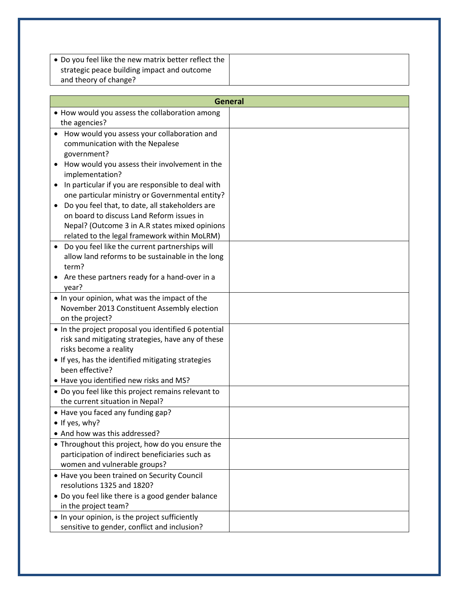| • Do you feel like the new matrix better reflect the |  |
|------------------------------------------------------|--|
| strategic peace building impact and outcome          |  |
| and theory of change?                                |  |

| <b>General</b>                                                                                                                                                                                       |  |
|------------------------------------------------------------------------------------------------------------------------------------------------------------------------------------------------------|--|
| • How would you assess the collaboration among                                                                                                                                                       |  |
| the agencies?                                                                                                                                                                                        |  |
| How would you assess your collaboration and<br>communication with the Nepalese<br>government?<br>How would you assess their involvement in the                                                       |  |
| implementation?                                                                                                                                                                                      |  |
| In particular if you are responsible to deal with<br>one particular ministry or Governmental entity?<br>Do you feel that, to date, all stakeholders are<br>on board to discuss Land Reform issues in |  |
| Nepal? (Outcome 3 in A.R states mixed opinions<br>related to the legal framework within MoLRM)                                                                                                       |  |
| Do you feel like the current partnerships will<br>$\bullet$<br>allow land reforms to be sustainable in the long<br>term?                                                                             |  |
| Are these partners ready for a hand-over in a<br>year?                                                                                                                                               |  |
| . In your opinion, what was the impact of the<br>November 2013 Constituent Assembly election<br>on the project?                                                                                      |  |
| • In the project proposal you identified 6 potential<br>risk sand mitigating strategies, have any of these<br>risks become a reality                                                                 |  |
| • If yes, has the identified mitigating strategies<br>been effective?<br>• Have you identified new risks and MS?                                                                                     |  |
| • Do you feel like this project remains relevant to<br>the current situation in Nepal?                                                                                                               |  |
| • Have you faced any funding gap?<br>• If yes, why?                                                                                                                                                  |  |
| • And how was this addressed?                                                                                                                                                                        |  |
| • Throughout this project, how do you ensure the<br>participation of indirect beneficiaries such as<br>women and vulnerable groups?                                                                  |  |
| • Have you been trained on Security Council<br>resolutions 1325 and 1820?<br>• Do you feel like there is a good gender balance<br>in the project team?                                               |  |
| . In your opinion, is the project sufficiently<br>sensitive to gender, conflict and inclusion?                                                                                                       |  |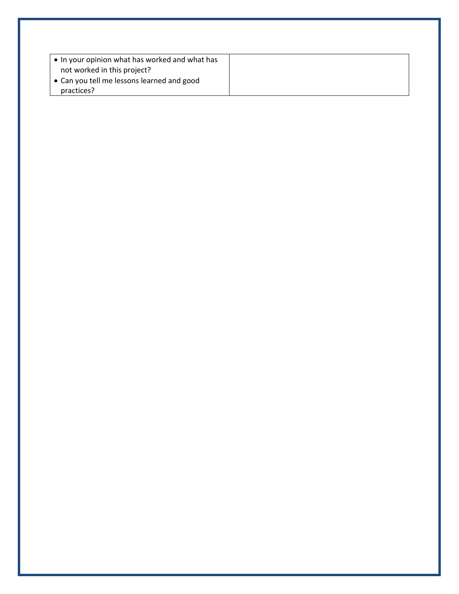| $\vert \bullet \vert$ In your opinion what has worked and what has |  |
|--------------------------------------------------------------------|--|
| not worked in this project?                                        |  |
| l • Can you tell me lessons learned and good                       |  |
| practices?                                                         |  |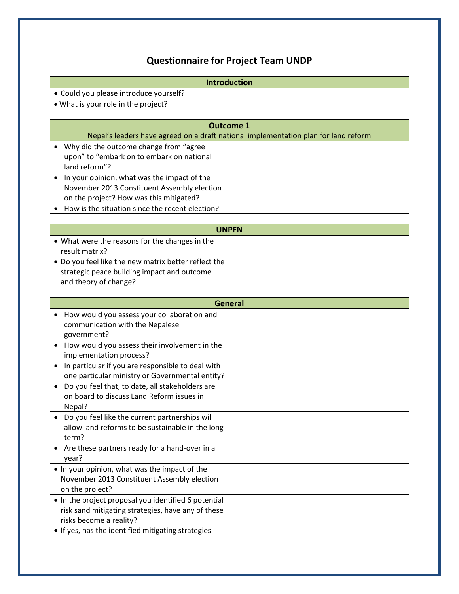# **Questionnaire for Project Team UNDP**

| <b>Introduction</b>                            |  |
|------------------------------------------------|--|
| $\bullet$ Could you please introduce yourself? |  |
| $\bullet$ What is your role in the project?    |  |

| Outcome 1                                                                           |  |
|-------------------------------------------------------------------------------------|--|
| Nepal's leaders have agreed on a draft national implementation plan for land reform |  |
| Why did the outcome change from "agree"                                             |  |
| upon" to "embark on to embark on national                                           |  |
| land reform"?                                                                       |  |
| In your opinion, what was the impact of the                                         |  |
| November 2013 Constituent Assembly election                                         |  |
| on the project? How was this mitigated?                                             |  |
| • How is the situation since the recent election?                                   |  |

| <b>UNPFN</b>                                                                                        |  |
|-----------------------------------------------------------------------------------------------------|--|
| • What were the reasons for the changes in the<br>result matrix?                                    |  |
| • Do you feel like the new matrix better reflect the<br>strategic peace building impact and outcome |  |
| and theory of change?                                                                               |  |

| General                                                                                                                                                                                                                                                                                                                                                                                                  |  |
|----------------------------------------------------------------------------------------------------------------------------------------------------------------------------------------------------------------------------------------------------------------------------------------------------------------------------------------------------------------------------------------------------------|--|
| How would you assess your collaboration and<br>$\bullet$<br>communication with the Nepalese<br>government?<br>How would you assess their involvement in the<br>implementation process?<br>In particular if you are responsible to deal with<br>one particular ministry or Governmental entity?<br>Do you feel that, to date, all stakeholders are<br>on board to discuss Land Reform issues in<br>Nepal? |  |
| Do you feel like the current partnerships will<br>allow land reforms to be sustainable in the long<br>term?<br>Are these partners ready for a hand-over in a<br>year?                                                                                                                                                                                                                                    |  |
| . In your opinion, what was the impact of the<br>November 2013 Constituent Assembly election<br>on the project?                                                                                                                                                                                                                                                                                          |  |
| • In the project proposal you identified 6 potential<br>risk sand mitigating strategies, have any of these<br>risks become a reality?<br>• If yes, has the identified mitigating strategies                                                                                                                                                                                                              |  |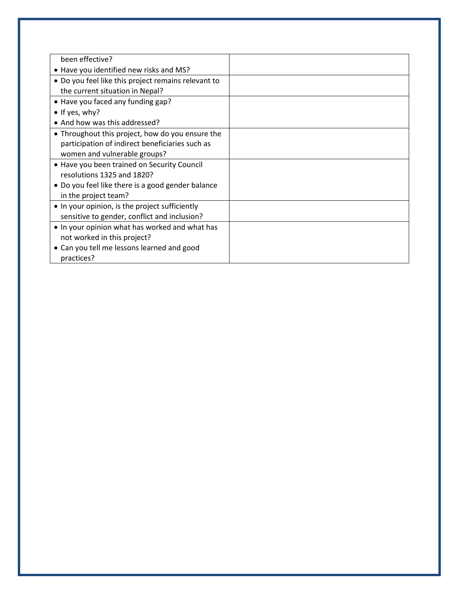| been effective?                                     |  |
|-----------------------------------------------------|--|
| • Have you identified new risks and MS?             |  |
| • Do you feel like this project remains relevant to |  |
| the current situation in Nepal?                     |  |
| • Have you faced any funding gap?                   |  |
| $\bullet$ If yes, why?                              |  |
| • And how was this addressed?                       |  |
| • Throughout this project, how do you ensure the    |  |
| participation of indirect beneficiaries such as     |  |
| women and vulnerable groups?                        |  |
| • Have you been trained on Security Council         |  |
| resolutions 1325 and 1820?                          |  |
| • Do you feel like there is a good gender balance   |  |
| in the project team?                                |  |
| • In your opinion, is the project sufficiently      |  |
| sensitive to gender, conflict and inclusion?        |  |
| • In your opinion what has worked and what has      |  |
| not worked in this project?                         |  |
| • Can you tell me lessons learned and good          |  |
| practices?                                          |  |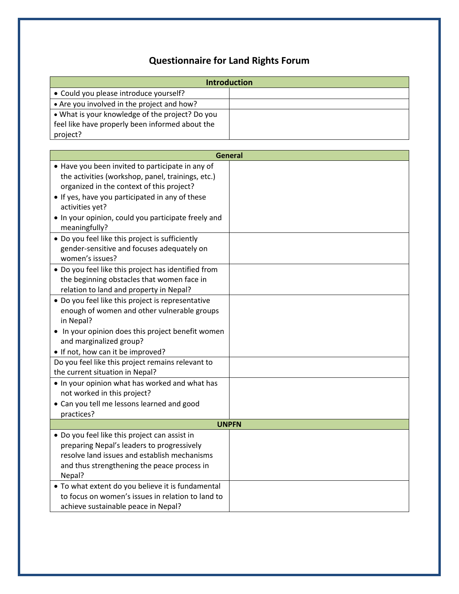# **Questionnaire for Land Rights Forum**

| <b>Introduction</b>                                                                                    |                |
|--------------------------------------------------------------------------------------------------------|----------------|
| • Could you please introduce yourself?                                                                 |                |
| • Are you involved in the project and how?                                                             |                |
| . What is your knowledge of the project? Do you                                                        |                |
| feel like have properly been informed about the                                                        |                |
| project?                                                                                               |                |
|                                                                                                        |                |
|                                                                                                        | <b>General</b> |
| • Have you been invited to participate in any of                                                       |                |
| the activities (workshop, panel, trainings, etc.)                                                      |                |
| organized in the context of this project?                                                              |                |
| • If yes, have you participated in any of these                                                        |                |
| activities yet?                                                                                        |                |
| . In your opinion, could you participate freely and                                                    |                |
| meaningfully?                                                                                          |                |
| • Do you feel like this project is sufficiently                                                        |                |
| gender-sensitive and focuses adequately on                                                             |                |
| women's issues?                                                                                        |                |
| • Do you feel like this project has identified from                                                    |                |
| the beginning obstacles that women face in                                                             |                |
| relation to land and property in Nepal?                                                                |                |
| • Do you feel like this project is representative                                                      |                |
| enough of women and other vulnerable groups                                                            |                |
| in Nepal?                                                                                              |                |
| • In your opinion does this project benefit women                                                      |                |
| and marginalized group?                                                                                |                |
| • If not, how can it be improved?                                                                      |                |
| Do you feel like this project remains relevant to                                                      |                |
| the current situation in Nepal?                                                                        |                |
| . In your opinion what has worked and what has                                                         |                |
| not worked in this project?                                                                            |                |
| • Can you tell me lessons learned and good                                                             |                |
| practices?                                                                                             |                |
|                                                                                                        | <b>UNPFN</b>   |
| • Do you feel like this project can assist in                                                          |                |
| preparing Nepal's leaders to progressively<br>resolve land issues and establish mechanisms             |                |
|                                                                                                        |                |
| and thus strengthening the peace process in                                                            |                |
| Nepal?                                                                                                 |                |
| • To what extent do you believe it is fundamental<br>to focus on women's issues in relation to land to |                |
|                                                                                                        |                |
| achieve sustainable peace in Nepal?                                                                    |                |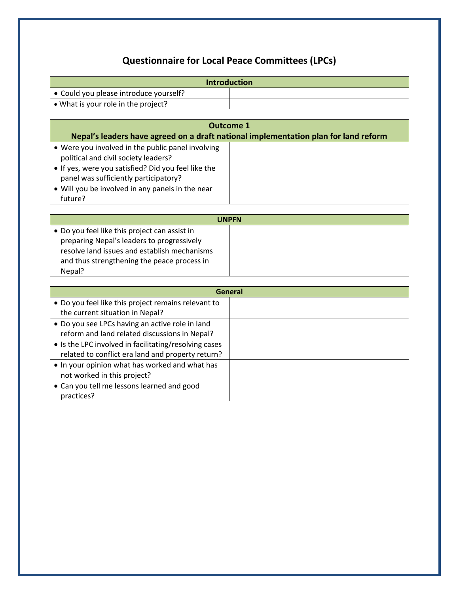# **Questionnaire for Local Peace Committees (LPCs)**

| <b>Introduction</b>                    |  |
|----------------------------------------|--|
| ● Could you please introduce yourself? |  |
| • What is your role in the project?    |  |

| Outcome 1<br>Nepal's leaders have agreed on a draft national implementation plan for land reform                                                                                                                                                         |  |
|----------------------------------------------------------------------------------------------------------------------------------------------------------------------------------------------------------------------------------------------------------|--|
| • Were you involved in the public panel involving<br>political and civil society leaders?<br>. If yes, were you satisfied? Did you feel like the<br>panel was sufficiently participatory?<br>• Will you be involved in any panels in the near<br>future? |  |

| <b>UNPFN</b>                                  |  |
|-----------------------------------------------|--|
| • Do you feel like this project can assist in |  |
| preparing Nepal's leaders to progressively    |  |
| resolve land issues and establish mechanisms  |  |
| and thus strengthening the peace process in   |  |
| Nepal?                                        |  |

| General                                               |  |
|-------------------------------------------------------|--|
| • Do you feel like this project remains relevant to   |  |
| the current situation in Nepal?                       |  |
| • Do you see LPCs having an active role in land       |  |
| reform and land related discussions in Nepal?         |  |
| • Is the LPC involved in facilitating/resolving cases |  |
| related to conflict era land and property return?     |  |
| • In your opinion what has worked and what has        |  |
| not worked in this project?                           |  |
| • Can you tell me lessons learned and good            |  |
| practices?                                            |  |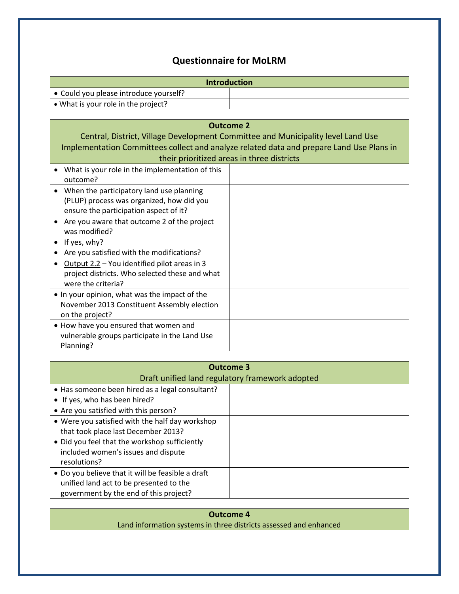## **Questionnaire for MoLRM**

| <b>Introduction</b>                            |  |
|------------------------------------------------|--|
| $\bullet$ Could you please introduce yourself? |  |
| • What is your role in the project?            |  |

| <b>Outcome 2</b>                                                                         |  |
|------------------------------------------------------------------------------------------|--|
| Central, District, Village Development Committee and Municipality level Land Use         |  |
| Implementation Committees collect and analyze related data and prepare Land Use Plans in |  |
| their prioritized areas in three districts                                               |  |
| What is your role in the implementation of this                                          |  |
| outcome?                                                                                 |  |
| When the participatory land use planning                                                 |  |
| (PLUP) process was organized, how did you                                                |  |
| ensure the participation aspect of it?                                                   |  |
| Are you aware that outcome 2 of the project                                              |  |
| was modified?                                                                            |  |
| If yes, why?                                                                             |  |
| Are you satisfied with the modifications?                                                |  |
| Output 2.2 - You identified pilot areas in 3                                             |  |
| project districts. Who selected these and what                                           |  |
| were the criteria?                                                                       |  |
| • In your opinion, what was the impact of the                                            |  |
| November 2013 Constituent Assembly election                                              |  |
| on the project?                                                                          |  |
| • How have you ensured that women and                                                    |  |
| vulnerable groups participate in the Land Use                                            |  |
| Planning?                                                                                |  |

| Outcome 3                                                                                                                                                                                      |  |
|------------------------------------------------------------------------------------------------------------------------------------------------------------------------------------------------|--|
| Draft unified land regulatory framework adopted                                                                                                                                                |  |
| • Has someone been hired as a legal consultant?                                                                                                                                                |  |
| • If yes, who has been hired?                                                                                                                                                                  |  |
| • Are you satisfied with this person?                                                                                                                                                          |  |
| • Were you satisfied with the half day workshop<br>that took place last December 2013?<br>• Did you feel that the workshop sufficiently<br>included women's issues and dispute<br>resolutions? |  |
| • Do you believe that it will be feasible a draft<br>unified land act to be presented to the<br>government by the end of this project?                                                         |  |

**Outcome 4** Land information systems in three districts assessed and enhanced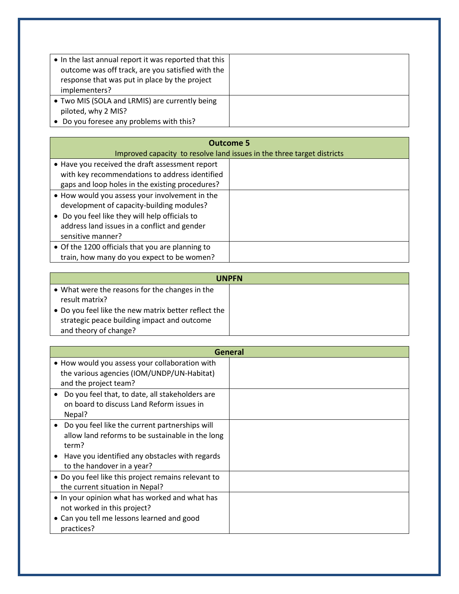| • In the last annual report it was reported that this<br>outcome was off track, are you satisfied with the<br>response that was put in place by the project<br>implementers? |  |
|------------------------------------------------------------------------------------------------------------------------------------------------------------------------------|--|
| • Two MIS (SOLA and LRMIS) are currently being<br>piloted, why 2 MIS?                                                                                                        |  |
| • Do you foresee any problems with this?                                                                                                                                     |  |

| <b>Outcome 5</b><br>Improved capacity to resolve land issues in the three target districts                                                                                                                         |  |
|--------------------------------------------------------------------------------------------------------------------------------------------------------------------------------------------------------------------|--|
| • Have you received the draft assessment report<br>with key recommendations to address identified<br>gaps and loop holes in the existing procedures?                                                               |  |
| • How would you assess your involvement in the<br>development of capacity-building modules?<br>• Do you feel like they will help officials to<br>address land issues in a conflict and gender<br>sensitive manner? |  |
| • Of the 1200 officials that you are planning to<br>train, how many do you expect to be women?                                                                                                                     |  |

| <b>UNPFN</b>                                         |  |
|------------------------------------------------------|--|
| • What were the reasons for the changes in the       |  |
| result matrix?                                       |  |
| • Do you feel like the new matrix better reflect the |  |
| strategic peace building impact and outcome          |  |
| and theory of change?                                |  |

| General                                                                                                                                                                                     |  |
|---------------------------------------------------------------------------------------------------------------------------------------------------------------------------------------------|--|
| • How would you assess your collaboration with<br>the various agencies (IOM/UNDP/UN-Habitat)<br>and the project team?                                                                       |  |
| Do you feel that, to date, all stakeholders are<br>on board to discuss Land Reform issues in<br>Nepal?                                                                                      |  |
| Do you feel like the current partnerships will<br>allow land reforms to be sustainable in the long<br>term?<br>Have you identified any obstacles with regards<br>to the handover in a year? |  |
| • Do you feel like this project remains relevant to<br>the current situation in Nepal?                                                                                                      |  |
| • In your opinion what has worked and what has<br>not worked in this project?<br>• Can you tell me lessons learned and good<br>practices?                                                   |  |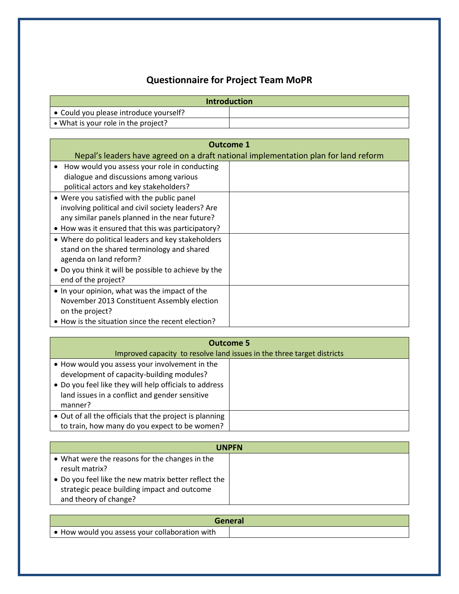# **Questionnaire for Project Team MoPR**

| <b>Introduction</b>                    |  |
|----------------------------------------|--|
| ● Could you please introduce yourself? |  |
| • What is your role in the project?    |  |

| Outcome 1                                                 |                                                                                     |
|-----------------------------------------------------------|-------------------------------------------------------------------------------------|
|                                                           | Nepal's leaders have agreed on a draft national implementation plan for land reform |
| How would you assess your role in conducting<br>$\bullet$ |                                                                                     |
| dialogue and discussions among various                    |                                                                                     |
| political actors and key stakeholders?                    |                                                                                     |
| • Were you satisfied with the public panel                |                                                                                     |
| involving political and civil society leaders? Are        |                                                                                     |
| any similar panels planned in the near future?            |                                                                                     |
| • How was it ensured that this was participatory?         |                                                                                     |
| • Where do political leaders and key stakeholders         |                                                                                     |
| stand on the shared terminology and shared                |                                                                                     |
| agenda on land reform?                                    |                                                                                     |
| • Do you think it will be possible to achieve by the      |                                                                                     |
| end of the project?                                       |                                                                                     |
| • In your opinion, what was the impact of the             |                                                                                     |
| November 2013 Constituent Assembly election               |                                                                                     |
| on the project?                                           |                                                                                     |
| • How is the situation since the recent election?         |                                                                                     |

| <b>Outcome 5</b>                                                                                                                                                                                                   |  |
|--------------------------------------------------------------------------------------------------------------------------------------------------------------------------------------------------------------------|--|
| Improved capacity to resolve land issues in the three target districts                                                                                                                                             |  |
| • How would you assess your involvement in the<br>development of capacity-building modules?<br>• Do you feel like they will help officials to address<br>land issues in a conflict and gender sensitive<br>manner? |  |
| • Out of all the officials that the project is planning<br>to train, how many do you expect to be women?                                                                                                           |  |

| <b>UNPFN</b>                                                                                                                 |  |
|------------------------------------------------------------------------------------------------------------------------------|--|
| • What were the reasons for the changes in the<br>result matrix?                                                             |  |
| • Do you feel like the new matrix better reflect the<br>strategic peace building impact and outcome<br>and theory of change? |  |

|                                                  | <b>General</b> |
|--------------------------------------------------|----------------|
| ∣ ● How would you assess your collaboration with |                |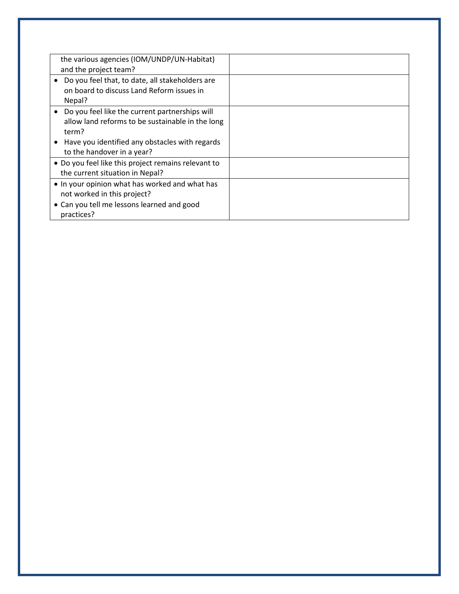| the various agencies (IOM/UNDP/UN-Habitat)<br>and the project team?                                                         |  |
|-----------------------------------------------------------------------------------------------------------------------------|--|
| Do you feel that, to date, all stakeholders are<br>on board to discuss Land Reform issues in<br>Nepal?                      |  |
| Do you feel like the current partnerships will<br>allow land reforms to be sustainable in the long<br>term?                 |  |
| Have you identified any obstacles with regards<br>to the handover in a year?                                                |  |
| • Do you feel like this project remains relevant to<br>the current situation in Nepal?                                      |  |
| • In your opinion what has worked and what has<br>not worked in this project?<br>• Can you tell me lessons learned and good |  |
| practices?                                                                                                                  |  |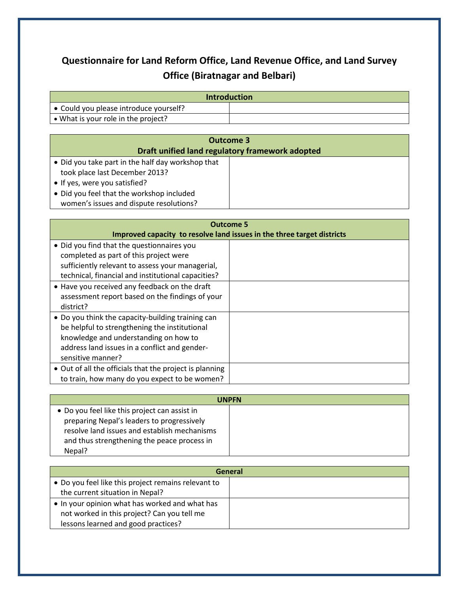# **Questionnaire for Land Reform Office, Land Revenue Office, and Land Survey Office (Biratnagar and Belbari)**

| <b>Introduction</b>                            |  |
|------------------------------------------------|--|
| $\bullet$ Could you please introduce yourself? |  |
| $\bullet$ What is your role in the project?    |  |

| Outcome 3                                                                            |  |
|--------------------------------------------------------------------------------------|--|
| Draft unified land regulatory framework adopted                                      |  |
| • Did you take part in the half day workshop that<br>took place last December 2013?  |  |
| • If yes, were you satisfied?                                                        |  |
| • Did you feel that the workshop included<br>women's issues and dispute resolutions? |  |

| <b>Outcome 5</b>                                                       |  |
|------------------------------------------------------------------------|--|
| Improved capacity to resolve land issues in the three target districts |  |
| • Did you find that the questionnaires you                             |  |
| completed as part of this project were                                 |  |
| sufficiently relevant to assess your managerial,                       |  |
| technical, financial and institutional capacities?                     |  |
| • Have you received any feedback on the draft                          |  |
| assessment report based on the findings of your                        |  |
| district?                                                              |  |
| • Do you think the capacity-building training can                      |  |
| be helpful to strengthening the institutional                          |  |
| knowledge and understanding on how to                                  |  |
| address land issues in a conflict and gender-                          |  |
| sensitive manner?                                                      |  |
| • Out of all the officials that the project is planning                |  |
| to train, how many do you expect to be women?                          |  |

| <b>UNPFN</b>                                  |  |
|-----------------------------------------------|--|
| • Do you feel like this project can assist in |  |
| preparing Nepal's leaders to progressively    |  |
| resolve land issues and establish mechanisms  |  |
| and thus strengthening the peace process in   |  |
| Nepal?                                        |  |

| General                                             |  |
|-----------------------------------------------------|--|
| • Do you feel like this project remains relevant to |  |
| the current situation in Nepal?                     |  |
| • In your opinion what has worked and what has      |  |
| not worked in this project? Can you tell me         |  |
| lessons learned and good practices?                 |  |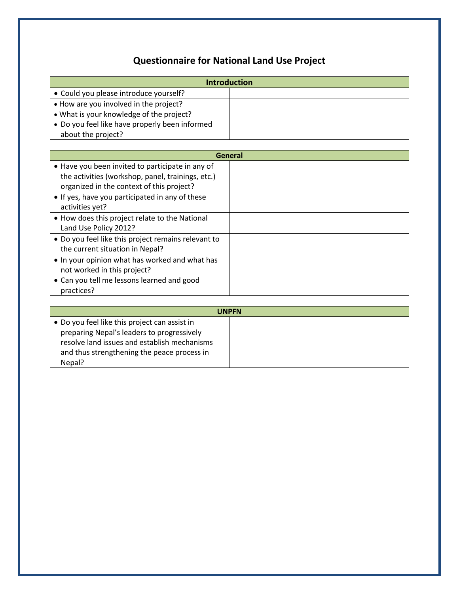# **Questionnaire for National Land Use Project**

| <b>Introduction</b>                                 |         |
|-----------------------------------------------------|---------|
| • Could you please introduce yourself?              |         |
| • How are you involved in the project?              |         |
| • What is your knowledge of the project?            |         |
| • Do you feel like have properly been informed      |         |
| about the project?                                  |         |
|                                                     |         |
|                                                     | General |
| • Have you been invited to participate in any of    |         |
| the activities (workshop, panel, trainings, etc.)   |         |
| organized in the context of this project?           |         |
| • If yes, have you participated in any of these     |         |
| activities yet?                                     |         |
| • How does this project relate to the National      |         |
| Land Use Policy 2012?                               |         |
| • Do you feel like this project remains relevant to |         |
| the current situation in Nepal?                     |         |
| • In your opinion what has worked and what has      |         |
| not worked in this project?                         |         |
| • Can you tell me lessons learned and good          |         |
| practices?                                          |         |

| <b>UNPFN</b>                                  |  |
|-----------------------------------------------|--|
| • Do you feel like this project can assist in |  |
| preparing Nepal's leaders to progressively    |  |
| resolve land issues and establish mechanisms  |  |
| and thus strengthening the peace process in   |  |
| Nepal?                                        |  |